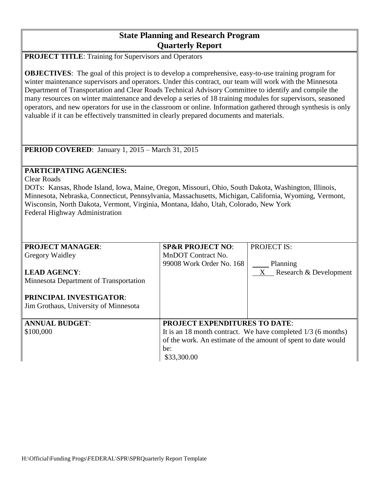# **State Planning and Research Program Quarterly Report**

**PROJECT TITLE**: Training for Supervisors and Operators

**OBJECTIVES:** The goal of this project is to develop a comprehensive, easy-to-use training program for winter maintenance supervisors and operators. Under this contract, our team will work with the Minnesota Department of Transportation and Clear Roads Technical Advisory Committee to identify and compile the many resources on winter maintenance and develop a series of 18 training modules for supervisors, seasoned operators, and new operators for use in the classroom or online. Information gathered through synthesis is only valuable if it can be effectively transmitted in clearly prepared documents and materials.

**PERIOD COVERED**: January 1, 2015 – March 31, 2015

## **PARTICIPATING AGENCIES:**

Clear Roads

DOTs: Kansas, Rhode Island, Iowa, Maine, Oregon, Missouri, Ohio, South Dakota, Washington, Illinois, Minnesota, Nebraska, Connecticut, Pennsylvania, Massachusetts, Michigan, California, Wyoming, Vermont, Wisconsin, North Dakota, Vermont, Virginia, Montana, Idaho, Utah, Colorado, New York Federal Highway Administration

| <b>PROJECT MANAGER:</b>                                          | <b>SP&amp;R PROJECT NO:</b>                                    | <b>PROJECT IS:</b>          |
|------------------------------------------------------------------|----------------------------------------------------------------|-----------------------------|
| <b>Gregory Waidley</b>                                           | MnDOT Contract No.                                             |                             |
|                                                                  | 99008 Work Order No. 168                                       | Planning                    |
| <b>LEAD AGENCY:</b>                                              |                                                                | Research & Development<br>X |
| Minnesota Department of Transportation                           |                                                                |                             |
| PRINCIPAL INVESTIGATOR:<br>Jim Grothaus, University of Minnesota |                                                                |                             |
| <b>ANNUAL BUDGET:</b>                                            | <b>PROJECT EXPENDITURES TO DATE:</b>                           |                             |
|                                                                  |                                                                |                             |
| \$100,000                                                        | It is an 18 month contract. We have completed $1/3$ (6 months) |                             |
|                                                                  | of the work. An estimate of the amount of spent to date would  |                             |
|                                                                  | be:                                                            |                             |
|                                                                  | \$33,300.00                                                    |                             |